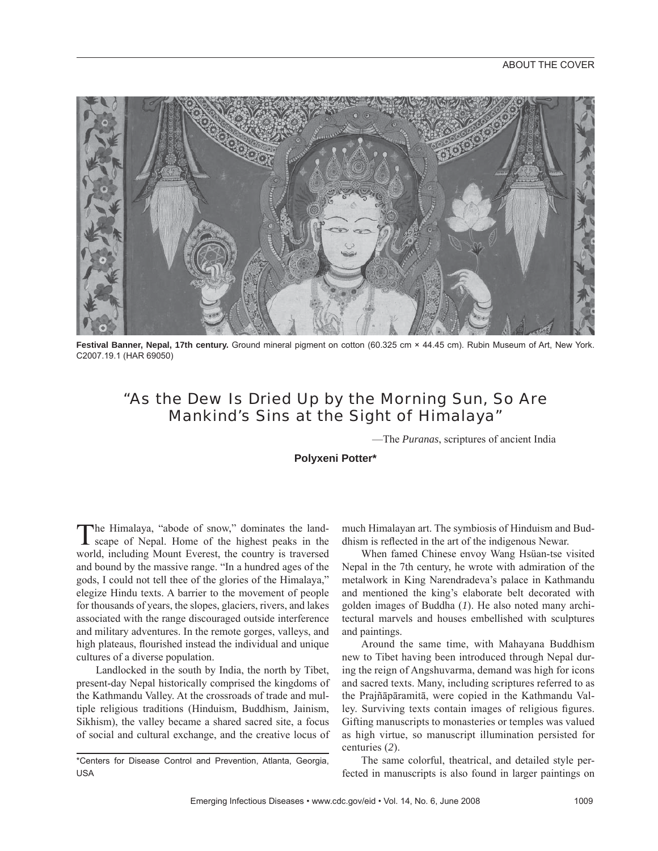

**Festival Banner, Nepal, 17th century.** Ground mineral pigment on cotton (60.325 cm × 44.45 cm). Rubin Museum of Art, New York. C2007.19.1 (HAR 69050)

# "As the Dew Is Dried Up by the Morning Sun, So Are Mankind's Sins at the Sight of Himalaya"

—The *Puranas*, scriptures of ancient India

## **Polyxeni Potter\***

The Himalaya, "abode of snow," dominates the land-scape of Nepal. Home of the highest peaks in the world, including Mount Everest, the country is traversed and bound by the massive range. "In a hundred ages of the gods, I could not tell thee of the glories of the Himalaya," elegize Hindu texts. A barrier to the movement of people for thousands of years, the slopes, glaciers, rivers, and lakes associated with the range discouraged outside interference and military adventures. In the remote gorges, valleys, and high plateaus, flourished instead the individual and unique cultures of a diverse population.

Landlocked in the south by India, the north by Tibet, present-day Nepal historically comprised the kingdoms of the Kathmandu Valley. At the crossroads of trade and multiple religious traditions (Hinduism, Buddhism, Jainism, Sikhism), the valley became a shared sacred site, a focus of social and cultural exchange, and the creative locus of

\*Centers for Disease Control and Prevention, Atlanta, Georgia, USA

much Himalayan art. The symbiosis of Hinduism and Buddhism is reflected in the art of the indigenous Newar.

When famed Chinese envoy Wang Hsüan-tse visited Nepal in the 7th century, he wrote with admiration of the metalwork in King Narendradeva's palace in Kathmandu and mentioned the king's elaborate belt decorated with golden images of Buddha (*1*). He also noted many architectural marvels and houses embellished with sculptures and paintings.

Around the same time, with Mahayana Buddhism new to Tibet having been introduced through Nepal during the reign of Angshuvarma, demand was high for icons and sacred texts. Many, including scriptures referred to as the Prajñāpāramitā, were copied in the Kathmandu Valley. Surviving texts contain images of religious figures. Gifting manuscripts to monasteries or temples was valued as high virtue, so manuscript illumination persisted for centuries (*2*).

The same colorful, theatrical, and detailed style perfected in manuscripts is also found in larger paintings on